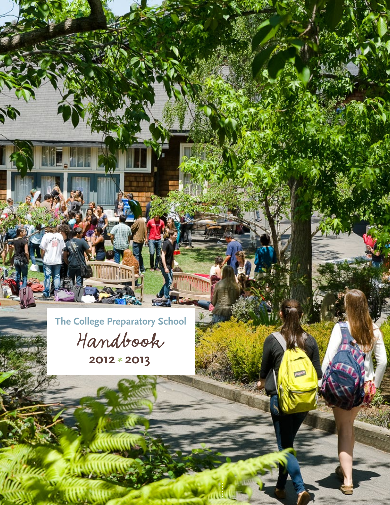**The College Preparatory School**  Handbook

Hill

**2012 2013** \*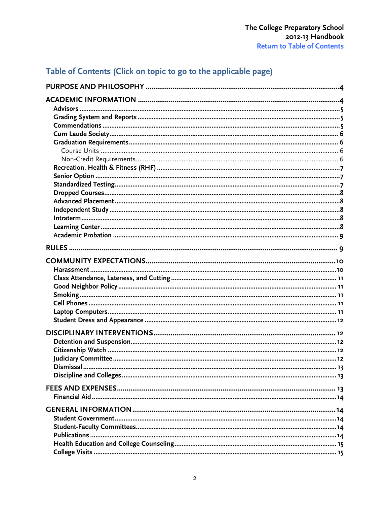# <span id="page-1-0"></span>Table of Contents (Click on topic to go to the applicable page)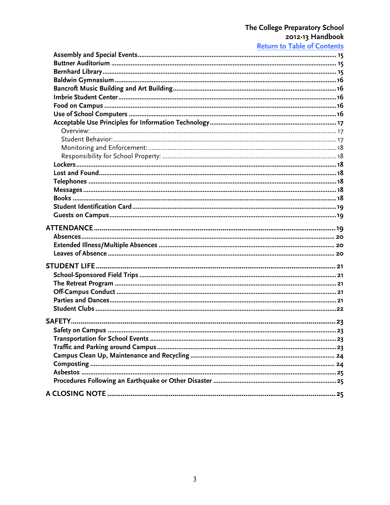# The College Preparatory School<br>2012-13 Handbook<br>Return to Table of Contents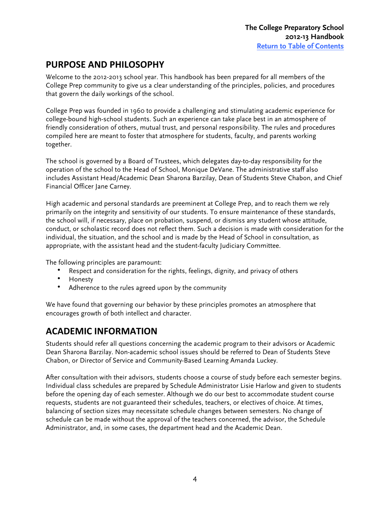## <span id="page-3-0"></span>**PURPOSE'AND'PHILOSOPHY**

Welcome to the 2012-2013 school year. This handbook has been prepared for all members of the College Prep community to give us a clear understanding of the principles, policies, and procedures that govern the daily workings of the school.

College Prep was founded in 1960 to provide a challenging and stimulating academic experience for college-bound high-school students. Such an experience can take place best in an atmosphere of friendly consideration of others, mutual trust, and personal responsibility. The rules and procedures compiled here are meant to foster that atmosphere for students, faculty, and parents working together.

The school is governed by a Board of Trustees, which delegates day-to-day responsibility for the operation of the school to the Head of School, Monique DeVane. The administrative staff also includes Assistant Head/Academic Dean Sharona Barzilay, Dean of Students Steve Chabon, and Chief Financial Officer Jane Carney.

High academic and personal standards are preeminent at College Prep, and to reach them we rely primarily on the integrity and sensitivity of our students. To ensure maintenance of these standards, the school will, if necessary, place on probation, suspend, or dismiss any student whose attitude, conduct, or scholastic record does not reflect them. Such a decision is made with consideration for the individual, the situation, and the school and is made by the Head of School in consultation, as appropriate, with the assistant head and the student-faculty Judiciary Committee.

The following principles are paramount:

- Respect and consideration for the rights, feelings, dignity, and privacy of others
- Honesty
- Adherence to the rules agreed upon by the community

We have found that governing our behavior by these principles promotes an atmosphere that encourages growth of both intellect and character.

# **ACADEMIC'INFORMATION**

Students should refer all questions concerning the academic program to their advisors or Academic Dean Sharona Barzilay. Non-academic school issues should be referred to Dean of Students Steve Chabon, or Director of Service and Community-Based Learning Amanda Luckey.

After consultation with their advisors, students choose a course of study before each semester begins. Individual class schedules are prepared by Schedule Administrator Lisie Harlow and given to students before the opening day of each semester. Although we do our best to accommodate student course requests, students are not guaranteed their schedules, teachers, or electives of choice. At times, balancing of section sizes may necessitate schedule changes between semesters. No change of schedule can be made without the approval of the teachers concerned, the advisor, the Schedule Administrator, and, in some cases, the department head and the Academic Dean.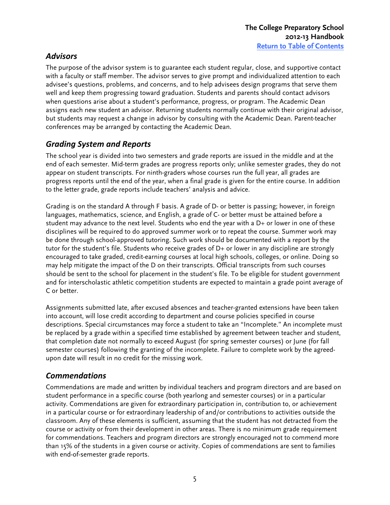## <span id="page-4-0"></span>*Advisors(*

The purpose of the advisor system is to guarantee each student regular, close, and supportive contact with a faculty or staff member. The advisor serves to give prompt and individualized attention to each advisee's questions, problems, and concerns, and to help advisees design programs that serve them well and keep them progressing toward graduation. Students and parents should contact advisors when questions arise about a student's performance, progress, or program. The Academic Dean assigns each new student an advisor. Returning students normally continue with their original advisor, but students may request a change in advisor by consulting with the Academic Dean. Parent-teacher conferences may be arranged by contacting the Academic Dean.

# *Grading System and Reports*

The school year is divided into two semesters and grade reports are issued in the middle and at the end of each semester. Mid-term grades are progress reports only; unlike semester grades, they do not appear on student transcripts. For ninth-graders whose courses run the full year, all grades are progress reports until the end of the year, when a final grade is given for the entire course. In addition to the letter grade, grade reports include teachers' analysis and advice.

Grading is on the standard A through F basis. A grade of D- or better is passing; however, in foreign languages, mathematics, science, and English, a grade of C- or better must be attained before a student may advance to the next level. Students who end the year with a D+ or lower in one of these disciplines will be required to do approved summer work or to repeat the course. Summer work may be done through school-approved tutoring. Such work should be documented with a report by the tutor for the student's file. Students who receive grades of D+ or lower in any discipline are strongly encouraged to take graded, credit-earning courses at local high schools, colleges, or online. Doing so may help mitigate the impact of the D on their transcripts. Official transcripts from such courses should be sent to the school for placement in the student's file. To be eligible for student government and for interscholastic athletic competition students are expected to maintain a grade point average of C or better.

Assignments submitted late, after excused absences and teacher-granted extensions have been taken into account, will lose credit according to department and course policies specified in course descriptions. Special circumstances may force a student to take an "Incomplete." An incomplete must be replaced by a grade within a specified time established by agreement between teacher and student, that completion date not normally to exceed August (for spring semester courses) or June (for fall semester courses) following the granting of the incomplete. Failure to complete work by the agreedupon date will result in no credit for the missing work.

# *Commendations(*

Commendations are made and written by individual teachers and program directors and are based on student performance in a specific course (both yearlong and semester courses) or in a particular activity. Commendations are given for extraordinary participation in, contribution to, or achievement in a particular course or for extraordinary leadership of and/or contributions to activities outside the classroom. Any of these elements is sufficient, assuming that the student has not detracted from the course or activity or from their development in other areas. There is no minimum grade requirement for commendations. Teachers and program directors are strongly encouraged not to commend more than 15% of the students in a given course or activity. Copies of commendations are sent to families with end-of-semester grade reports.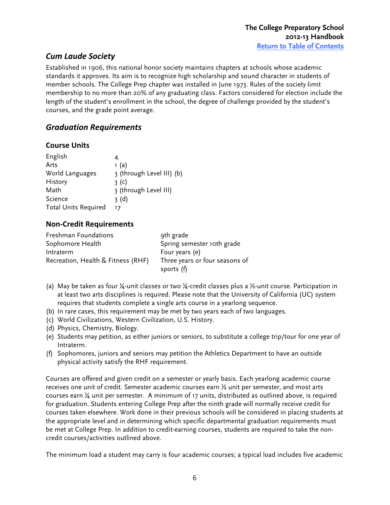## <span id="page-5-0"></span>**Cum Laude Society**

Established in 1906, this national honor society maintains chapters at schools whose academic standards it approves. Its aim is to recognize high scholarship and sound character in students of member schools. The College Prep chapter was installed in June 1973. Rules of the society limit membership to no more than 20% of any graduating class. Factors considered for election include the length of the student's enrollment in the school, the degree of challenge provided by the student's courses, and the grade point average.

#### **Graduation Requirements**

#### **Course Units**

| English                     | 4                         |
|-----------------------------|---------------------------|
| Arts                        | 1(a)                      |
| World Languages             | 3 (through Level III) (b) |
| History                     | 3 <sup>(c)</sup>          |
| Math                        | 3 (through Level III)     |
| Science                     | 3(d)                      |
| <b>Total Units Required</b> | 17                        |

#### **Non;Credit'Requirements**

| Freshman Foundations               | 9th grade                      |
|------------------------------------|--------------------------------|
| Sophomore Health                   | Spring semester 10th grade     |
| Intraterm                          | Four years (e)                 |
| Recreation, Health & Fitness (RHF) | Three years or four seasons of |
|                                    | sports (f)                     |

- (a) May be taken as four ¼-unit classes or two ¼-credit classes plus a ½-unit course. Participation in at least two arts disciplines is required. Please note that the University of California (UC) system requires that students complete a single arts course in a yearlong sequence.
- (b) In rare cases, this requirement may be met by two years each of two languages.
- (c) World Civilizations, Western Civilization, U.S. History.
- (d) Physics, Chemistry, Biology.
- (e) Students may petition, as either juniors or seniors, to substitute a college trip/tour for one year of Intraterm.
- (f) Sophomores, juniors and seniors may petition the Athletics Department to have an outside physical activity satisfy the RHF requirement.

Courses are offered and given credit on a semester or yearly basis. Each yearlong academic course receives one unit of credit. Semester academic courses earn  $\frac{1}{2}$  unit per semester, and most arts courses earn ¼ unit per semester. A minimum of 17 units, distributed as outlined above, is required for graduation. Students entering College Prep after the ninth grade will normally receive credit for courses taken elsewhere. Work done in their previous schools will be considered in placing students at the appropriate level and in determining which specific departmental graduation requirements must be met at College Prep. In addition to credit-earning courses, students are required to take the noncredit courses/activities outlined above.

The minimum load a student may carry is four academic courses; a typical load includes five academic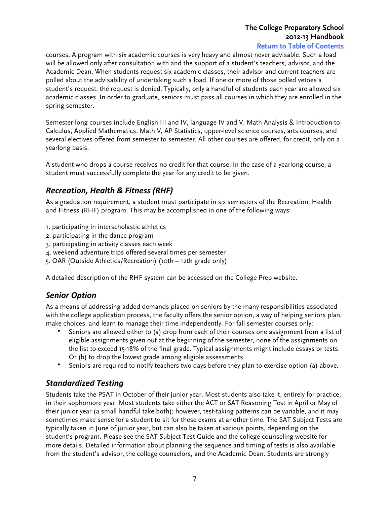# **The College Preparatory School 2012-13 Handbook**

**[Return to Table of Contents](#page-1-0)**

<span id="page-6-0"></span>courses. A program with six academic courses is very heavy and almost never advisable. Such a load will be allowed only after consultation with and the support of a student's teachers, advisor, and the Academic Dean. When students request six academic classes, their advisor and current teachers are polled about the advisability of undertaking such a load. If one or more of those polled vetoes a student's request, the request is denied. Typically, only a handful of students each year are allowed six academic classes. In order to graduate, seniors must pass all courses in which they are enrolled in the spring semester.

Semester-long courses include English III and IV, language IV and V, Math Analysis & Introduction to Calculus, Applied Mathematics, Math V, AP Statistics, upper-level science courses, arts courses, and several electives offered from semester to semester. All other courses are offered, for credit, only on a yearlong basis.

A student who drops a course receives no credit for that course. In the case of a yearlong course, a student must successfully complete the year for any credit to be given.

## *Recreation, Health & Fitness (RHF)*

As a graduation requirement, a student must participate in six semesters of the Recreation, Health and Fitness (RHF) program. This may be accomplished in one of the following ways:

- 1. participating in interscholastic athletics
- 2. participating in the dance program
- 3. participating in activity classes each week
- 4. weekend adventure trips offered several times per semester
- 5. OAR (Outside Athletics/Recreation) (10th 12th grade only)

A detailed description of the RHF system can be accessed on the College Prep website.

## **Senior Option**

As a means of addressing added demands placed on seniors by the many responsibilities associated with the college application process, the faculty offers the senior option, a way of helping seniors plan, make choices, and learn to manage their time independently. For fall semester courses only:

- Seniors are allowed either to (a) drop from each of their courses one assignment from a list of eligible assignments given out at the beginning of the semester, none of the assignments on the list to exceed 15-18% of the final grade. Typical assignments might include essays or tests. Or (b) to drop the lowest grade among eligible assessments.
- Seniors are required to notify teachers two days before they plan to exercise option (a) above.

## **Standardized Testing**

Students take the PSAT in October of their junior year. Most students also take it, entirely for practice, in their sophomore year. Most students take either the ACT or SAT Reasoning Test in April or May of their junior year (a small handful take both); however, test-taking patterns can be variable, and it may sometimes make sense for a student to sit for these exams at another time. The SAT Subject Tests are typically taken in June of junior year, but can also be taken at various points, depending on the student's program. Please see the SAT Subject Test Guide and the college counseling website for more details. Detailed information about planning the sequence and timing of tests is also available from the student's advisor, the college counselors, and the Academic Dean. Students are strongly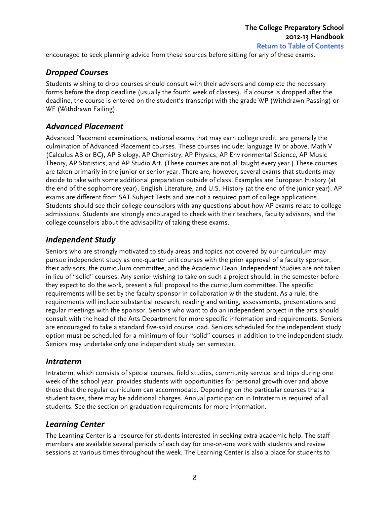<span id="page-7-0"></span>encouraged to seek planning advice from these sources before sitting for any of these exams.

#### **Dropped Courses**

Students wishing to drop courses should consult with their advisors and complete the necessary forms before the drop deadline (usually the fourth week of classes). If a course is dropped after the deadline, the course is entered on the student's transcript with the grade WP (Withdrawn Passing) or WF (Withdrawn Failing).

#### *Advanced(Placement(*

Advanced Placement examinations, national exams that may earn college credit, are generally the culmination of Advanced Placement courses. These courses include: language IV or above, Math V (Calculus AB or BC), AP Biology, AP Chemistry, AP Physics, AP Environmental Science, AP Music Theory, AP Statistics, and AP Studio Art. (These courses are not all taught every year.) These courses are taken primarily in the junior or senior year. There are, however, several exams that students may decide to take with some additional preparation outside of class. Examples are European History (at the end of the sophomore year), English Literature, and U.S. History (at the end of the junior year). AP exams are different from SAT Subject Tests and are not a required part of college applications. Students should see their college counselors with any questions about how AP exams relate to college admissions. Students are strongly encouraged to check with their teachers, faculty advisors, and the college counselors about the advisability of taking these exams.

#### **Independent Study**

Seniors who are strongly motivated to study areas and topics not covered by our curriculum may pursue independent study as one-quarter unit courses with the prior approval of a faculty sponsor, their advisors, the curriculum committee, and the Academic Dean. Independent Studies are not taken in lieu of "solid" courses. Any senior wishing to take on such a project should, in the semester before they expect to do the work, present a full proposal to the curriculum committee. The specific requirements will be set by the faculty sponsor in collaboration with the student. As a rule, the requirements will include substantial research, reading and writing, assessments, presentations and regular meetings with the sponsor. Seniors who want to do an independent project in the arts should consult with the head of the Arts Department for more specific information and requirements. Seniors are encouraged to take a standard five-solid course load. Seniors scheduled for the independent study option must be scheduled for a minimum of four "solid" courses in addition to the independent study. Seniors may undertake only one independent study per semester.

#### *Intraterm(*

Intraterm, which consists of special courses, field studies, community service, and trips during one week of the school year, provides students with opportunities for personal growth over and above those that the regular curriculum can accommodate. Depending on the particular courses that a student takes, there may be additional charges. Annual participation in Intraterm is required of all students. See the section on graduation requirements for more information.

## **Learning Center**

The Learning Center is a resource for students interested in seeking extra academic help. The staff members are available several periods of each day for one-on-one work with students and review sessions at various times throughout the week. The Learning Center is also a place for students to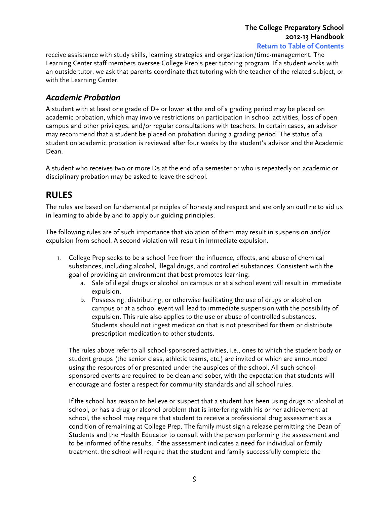# **The College Preparatory School 2012-13 Handbook**

**[Return to Table of Contents](#page-1-0)**

<span id="page-8-0"></span>receive assistance with study skills, learning strategies and organization/time-management. The Learning Center staff members oversee College Prep's peer tutoring program. If a student works with an outside tutor, we ask that parents coordinate that tutoring with the teacher of the related subject, or with the Learning Center.

#### *Academic(Probation(*

A student with at least one grade of D+ or lower at the end of a grading period may be placed on academic probation, which may involve restrictions on participation in school activities, loss of open campus and other privileges, and/or regular consultations with teachers. In certain cases, an advisor may recommend that a student be placed on probation during a grading period. The status of a student on academic probation is reviewed after four weeks by the student's advisor and the Academic Dean.

A student who receives two or more Ds at the end of a semester or who is repeatedly on academic or disciplinary probation may be asked to leave the school.

## **RULES**

The rules are based on fundamental principles of honesty and respect and are only an outline to aid us in learning to abide by and to apply our guiding principles.

The following rules are of such importance that violation of them may result in suspension and/or expulsion from school. A second violation will result in immediate expulsion.

- 1. College Prep seeks to be a school free from the influence, effects, and abuse of chemical substances, including alcohol, illegal drugs, and controlled substances. Consistent with the goal of providing an environment that best promotes learning:
	- a. Sale of illegal drugs or alcohol on campus or at a school event will result in immediate expulsion.
	- b. Possessing, distributing, or otherwise facilitating the use of drugs or alcohol on campus or at a school event will lead to immediate suspension with the possibility of expulsion. This rule also applies to the use or abuse of controlled substances. Students should not ingest medication that is not prescribed for them or distribute prescription medication to other students.

The rules above refer to all school-sponsored activities, i.e., ones to which the student body or student groups (the senior class, athletic teams, etc.) are invited or which are announced using the resources of or presented under the auspices of the school. All such schoolsponsored events are required to be clean and sober, with the expectation that students will encourage and foster a respect for community standards and all school rules.

If the school has reason to believe or suspect that a student has been using drugs or alcohol at school, or has a drug or alcohol problem that is interfering with his or her achievement at school, the school may require that student to receive a professional drug assessment as a condition of remaining at College Prep. The family must sign a release permitting the Dean of Students and the Health Educator to consult with the person performing the assessment and to be informed of the results. If the assessment indicates a need for individual or family treatment, the school will require that the student and family successfully complete the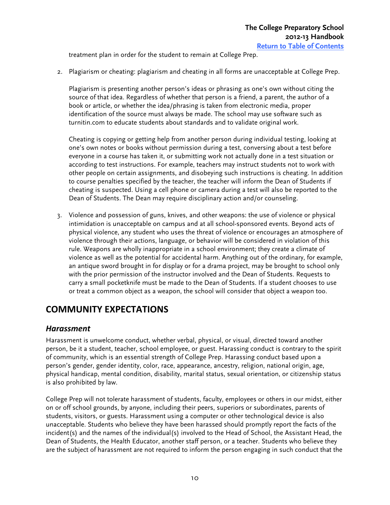<span id="page-9-0"></span>treatment plan in order for the student to remain at College Prep.

2. Plagiarism or cheating: plagiarism and cheating in all forms are unacceptable at College Prep.

Plagiarism is presenting another person's ideas or phrasing as one's own without citing the source of that idea. Regardless of whether that person is a friend, a parent, the author of a book or article, or whether the idea/phrasing is taken from electronic media, proper identification of the source must always be made. The school may use software such as turnitin.com to educate students about standards and to validate original work.

Cheating is copying or getting help from another person during individual testing, looking at one's own notes or books without permission during a test, conversing about a test before everyone in a course has taken it, or submitting work not actually done in a test situation or according to test instructions. For example, teachers may instruct students not to work with other people on certain assignments, and disobeying such instructions is cheating. In addition to course penalties specified by the teacher, the teacher will inform the Dean of Students if cheating is suspected. Using a cell phone or camera during a test will also be reported to the Dean of Students. The Dean may require disciplinary action and/or counseling.

3. Violence and possession of guns, knives, and other weapons: the use of violence or physical intimidation is unacceptable on campus and at all school-sponsored events. Beyond acts of physical violence, any student who uses the threat of violence or encourages an atmosphere of violence through their actions, language, or behavior will be considered in violation of this rule. Weapons are wholly inappropriate in a school environment; they create a climate of violence as well as the potential for accidental harm. Anything out of the ordinary, for example, an antique sword brought in for display or for a drama project, may be brought to school only with the prior permission of the instructor involved and the Dean of Students. Requests to carry a small pocketknife must be made to the Dean of Students. If a student chooses to use or treat a common object as a weapon, the school will consider that object a weapon too.

# **COMMUNITY'EXPECTATIONS**

#### *Harassment*

Harassment is unwelcome conduct, whether verbal, physical, or visual, directed toward another person, be it a student, teacher, school employee, or guest. Harassing conduct is contrary to the spirit of community, which is an essential strength of College Prep. Harassing conduct based upon a person's gender, gender identity, color, race, appearance, ancestry, religion, national origin, age, physical handicap, mental condition, disability, marital status, sexual orientation, or citizenship status is also prohibited by law.

College Prep will not tolerate harassment of students, faculty, employees or others in our midst, either on or off school grounds, by anyone, including their peers, superiors or subordinates, parents of students, visitors, or guests. Harassment using a computer or other technological device is also unacceptable. Students who believe they have been harassed should promptly report the facts of the incident(s) and the names of the individual(s) involved to the Head of School, the Assistant Head, the Dean of Students, the Health Educator, another staff person, or a teacher. Students who believe they are the subject of harassment are not required to inform the person engaging in such conduct that the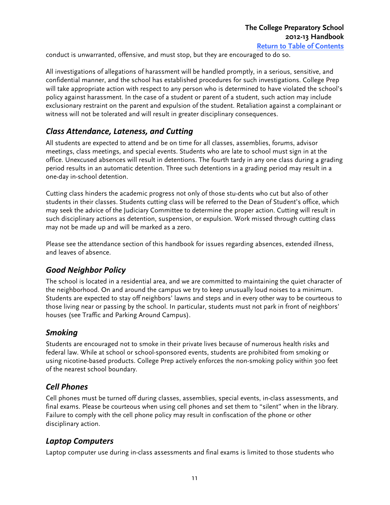<span id="page-10-0"></span>conduct is unwarranted, offensive, and must stop, but they are encouraged to do so.

All investigations of allegations of harassment will be handled promptly, in a serious, sensitive, and confidential manner, and the school has established procedures for such investigations. College Prep will take appropriate action with respect to any person who is determined to have violated the school's policy against harassment. In the case of a student or parent of a student, such action may include exclusionary restraint on the parent and expulsion of the student. Retaliation against a complainant or witness will not be tolerated and will result in greater disciplinary consequences.

## **Class Attendance, Lateness, and Cutting**

All students are expected to attend and be on time for all classes, assemblies, forums, advisor meetings, class meetings, and special events. Students who are late to school must sign in at the office. Unexcused absences will result in detentions. The fourth tardy in any one class during a grading period results in an automatic detention. Three such detentions in a grading period may result in a one-day in-school detention.

Cutting class hinders the academic progress not only of those stu-dents who cut but also of other students in their classes. Students cutting class will be referred to the Dean of Student's office, which may seek the advice of the Judiciary Committee to determine the proper action. Cutting will result in such disciplinary actions as detention, suspension, or expulsion. Work missed through cutting class may not be made up and will be marked as a zero.

Please see the attendance section of this handbook for issues regarding absences, extended illness, and leaves of absence.

## Good Neighbor Policy

The school is located in a residential area, and we are committed to maintaining the quiet character of the neighborhood. On and around the campus we try to keep unusually loud noises to a minimum. Students are expected to stay off neighbors' lawns and steps and in every other way to be courteous to those living near or passing by the school. In particular, students must not park in front of neighbors' houses (see Traffic and Parking Around Campus).

#### *Smoking(*

Students are encouraged not to smoke in their private lives because of numerous health risks and federal law. While at school or school-sponsored events, students are prohibited from smoking or using nicotine-based products. College Prep actively enforces the non-smoking policy within 300 feet of the nearest school boundary.

#### **Cell Phones**

Cell phones must be turned off during classes, assemblies, special events, in-class assessments, and final exams. Please be courteous when using cell phones and set them to "silent" when in the library. Failure to comply with the cell phone policy may result in confiscation of the phone or other disciplinary action.

## **Laptop Computers**

Laptop computer use during in-class assessments and final exams is limited to those students who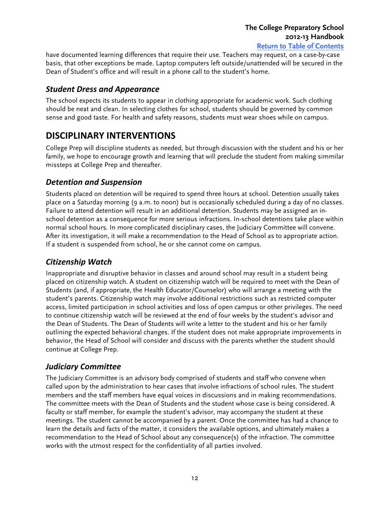<span id="page-11-0"></span>have documented learning differences that require their use. Teachers may request, on a case-by-case basis, that other exceptions be made. Laptop computers left outside/unattended will be secured in the Dean of Student's office and will result in a phone call to the student's home.

#### **Student Dress and Appearance**

The school expects its students to appear in clothing appropriate for academic work. Such clothing should be neat and clean. In selecting clothes for school, students should be governed by common sense and good taste. For health and safety reasons, students must wear shoes while on campus.

# **DISCIPLINARY'INTERVENTIONS**

College Prep will discipline students as needed, but through discussion with the student and his or her family, we hope to encourage growth and learning that will preclude the student from making simmilar missteps at College Prep and thereafter.

#### **Detention and Suspension**

Students placed on detention will be required to spend three hours at school. Detention usually takes place on a Saturday morning (9 a.m. to noon) but is occasionally scheduled during a day of no classes. Failure to attend detention will result in an additional detention. Students may be assigned an inschool detention as a consequence for more serious infractions. In-school detentions take place within normal school hours. In more complicated disciplinary cases, the Judiciary Committee will convene. After its investigation, it will make a recommendation to the Head of School as to appropriate action. If a student is suspended from school, he or she cannot come on campus.

## **Citizenship Watch**

Inappropriate and disruptive behavior in classes and around school may result in a student being placed on citizenship watch. A student on citizenship watch will be required to meet with the Dean of Students (and, if appropriate, the Health Educator/Counselor) who will arrange a meeting with the student's parents. Citizenship watch may involve additional restrictions such as restricted computer access, limited participation in school activities and loss of open campus or other privileges. The need to continue citizenship watch will be reviewed at the end of four weeks by the student's advisor and the Dean of Students. The Dean of Students will write a letter to the student and his or her family outlining the expected behavioral changes. If the student does not make appropriate improvements in behavior, the Head of School will consider and discuss with the parents whether the student should continue at College Prep.

## *Judiciary(Committee((*

The Judiciary Committee is an advisory body comprised of students and staff who convene when called upon by the administration to hear cases that involve infractions of school rules. The student members and the staff members have equal voices in discussions and in making recommendations. The committee meets with the Dean of Students and the student whose case is being considered. A faculty or staff member, for example the student's advisor, may accompany the student at these meetings. The student cannot be accompanied by a parent. Once the committee has had a chance to learn the details and facts of the matter, it considers the available options, and ultimately makes a recommendation to the Head of School about any consequence(s) of the infraction. The committee works with the utmost respect for the confidentiality of all parties involved.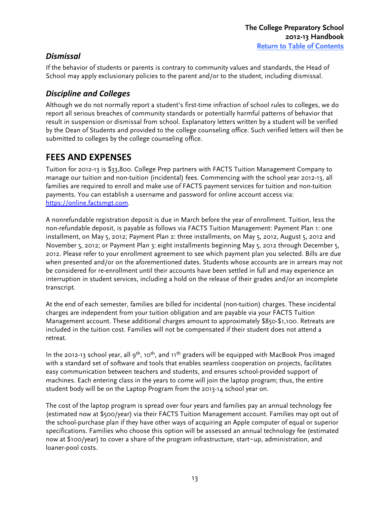## <span id="page-12-0"></span>*Dismissal*

If the behavior of students or parents is contrary to community values and standards, the Head of School may apply exclusionary policies to the parent and/or to the student, including dismissal.

## **Discipline and Colleges**

Although we do not normally report a student's first-time infraction of school rules to colleges, we do report all serious breaches of community standards or potentially harmful patterns of behavior that result in suspension or dismissal from school. Explanatory letters written by a student will be verified by the Dean of Students and provided to the college counseling office. Such verified letters will then be submitted to colleges by the college counseling office.

# **FEES'AND'EXPENSES**

Tuition for 2012-13 is \$33,800. College Prep partners with FACTS Tuition Management Company to manage our tuition and non-tuition (incidental) fees. Commencing with the school year 2012-13, all families are required to enroll and make use of FACTS payment services for tuition and non-tuition payments. You can establish a username and password for online account access via: https://online.factsmgt.com.

A nonrefundable registration deposit is due in March before the year of enrollment. Tuition, less the non-refundable deposit, is payable as follows via FACTS Tuition Management: Payment Plan 1: one installment, on May 5, 2012; Payment Plan 2: three installments, on May 5, 2012, August 5, 2012 and November 5, 2012; or Payment Plan 3: eight installments beginning May 5, 2012 through December 5, 2012. Please refer to your enrollment agreement to see which payment plan you selected. Bills are due when presented and/or on the aforementioned dates. Students whose accounts are in arrears may not be considered for re-enrollment until their accounts have been settled in full and may experience an interruption in student services, including a hold on the release of their grades and/or an incomplete transcript.

At the end of each semester, families are billed for incidental (non-tuition) charges. These incidental charges are independent from your tuition obligation and are payable via your FACTS Tuition Management account. These additional charges amount to approximately \$850-\$1,100. Retreats are included in the tuition cost. Families will not be compensated if their student does not attend a retreat.

In the 2012-13 school year, all 9<sup>th</sup>, 10<sup>th</sup>, and 11<sup>th</sup> graders will be equipped with MacBook Pros imaged with a standard set of software and tools that enables seamless cooperation on projects, facilitates easy communication between teachers and students, and ensures school-provided support of machines. Each entering class in the years to come will join the laptop program; thus, the entire student body will be on the Laptop Program from the 2013-14 school year on.

The cost of the laptop program is spread over four years and families pay an annual technology fee (estimated now at \$500/year) via their FACTS Tuition Management account. Families may opt out of the school-purchase plan if they have other ways of acquiring an Apple computer of equal or superior specifications. Families who choose this option will be assessed an annual technology fee (estimated now at \$100/year) to cover a share of the program infrastructure, start-up, administration, and loaner-pool costs.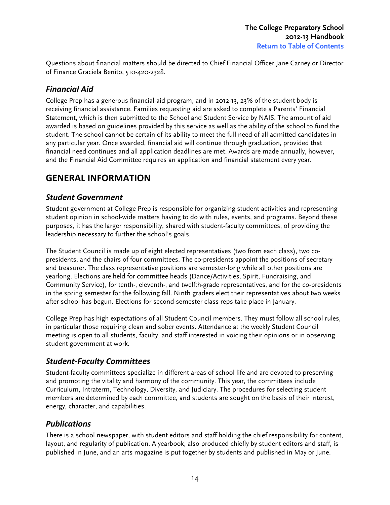<span id="page-13-0"></span>Questions about financial matters should be directed to Chief Financial Officer Jane Carney or Director of Finance Graciela Benito, 510-420-2328.

## *Financial(Aid(*

College Prep has a generous financial-aid program, and in 2012-13, 23% of the student body is receiving financial assistance. Families requesting aid are asked to complete a Parents' Financial Statement, which is then submitted to the School and Student Service by NAIS. The amount of aid awarded is based on guidelines provided by this service as well as the ability of the school to fund the student. The school cannot be certain of its ability to meet the full need of all admitted candidates in any particular year. Once awarded, financial aid will continue through graduation, provided that financial need continues and all application deadlines are met. Awards are made annually, however, and the Financial Aid Committee requires an application and financial statement every year.

# **GENERAL'INFORMATION**

#### *Student(Government*

Student government at College Prep is responsible for organizing student activities and representing student opinion in school-wide matters having to do with rules, events, and programs. Beyond these purposes, it has the larger responsibility, shared with student-faculty committees, of providing the leadership necessary to further the school's goals.

The Student Council is made up of eight elected representatives (two from each class), two copresidents, and the chairs of four committees. The co-presidents appoint the positions of secretary and treasurer. The class representative positions are semester-long while all other positions are yearlong. Elections are held for committee heads (Dance/Activities, Spirit, Fundraising, and Community Service), for tenth-, eleventh-, and twelfth-grade representatives, and for the co-presidents in the spring semester for the following fall. Ninth graders elect their representatives about two weeks after school has begun. Elections for second-semester class reps take place in January.

College Prep has high expectations of all Student Council members. They must follow all school rules, in particular those requiring clean and sober events. Attendance at the weekly Student Council meeting is open to all students, faculty, and staff interested in voicing their opinions or in observing student government at work.

## **Student-Faculty Committees**

Student-faculty committees specialize in different areas of school life and are devoted to preserving and promoting the vitality and harmony of the community. This year, the committees include Curriculum, Intraterm, Technology, Diversity, and Judiciary. The procedures for selecting student members are determined by each committee, and students are sought on the basis of their interest, energy, character, and capabilities.

## *Publications(*

There is a school newspaper, with student editors and staff holding the chief responsibility for content, layout, and regularity of publication. A yearbook, also produced chiefly by student editors and staff, is published in June, and an arts magazine is put together by students and published in May or June.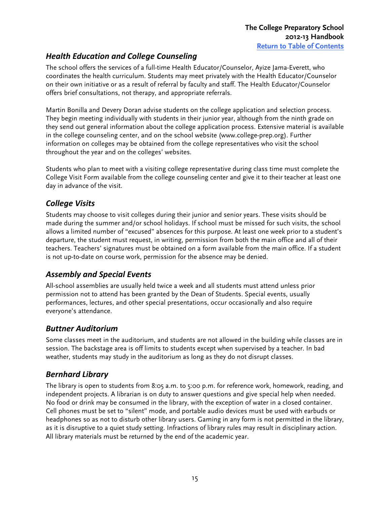## <span id="page-14-0"></span>**Health Education and College Counseling**

The school offers the services of a full-time Health Educator/Counselor, Ayize Jama-Everett, who coordinates the health curriculum. Students may meet privately with the Health Educator/Counselor on their own initiative or as a result of referral by faculty and staff. The Health Educator/Counselor offers brief consultations, not therapy, and appropriate referrals.

Martin Bonilla and Devery Doran advise students on the college application and selection process. They begin meeting individually with students in their junior year, although from the ninth grade on they send out general information about the college application process. Extensive material is available in the college counseling center, and on the school website (www.college-prep.org). Further information on colleges may be obtained from the college representatives who visit the school throughout the year and on the colleges' websites.

Students who plan to meet with a visiting college representative during class time must complete the College Visit Form available from the college counseling center and give it to their teacher at least one day in advance of the visit.

## **College Visits**

Students may choose to visit colleges during their junior and senior years. These visits should be made during the summer and/or school holidays. If school must be missed for such visits, the school allows a limited number of "excused" absences for this purpose. At least one week prior to a student's departure, the student must request, in writing, permission from both the main office and all of their teachers. Teachers' signatures must be obtained on a form available from the main office. If a student is not up-to-date on course work, permission for the absence may be denied.

## **Assembly and Special Events**

All-school assemblies are usually held twice a week and all students must attend unless prior permission not to attend has been granted by the Dean of Students. Special events, usually performances, lectures, and other special presentations, occur occasionally and also require everyone's attendance.

## *Buttner Auditorium*

Some classes meet in the auditorium, and students are not allowed in the building while classes are in session. The backstage area is off limits to students except when supervised by a teacher. In bad weather, students may study in the auditorium as long as they do not disrupt classes.

# *Bernhard(Library(*

The library is open to students from 8:05 a.m. to 5:00 p.m. for reference work, homework, reading, and independent projects. A librarian is on duty to answer questions and give special help when needed. No food or drink may be consumed in the library, with the exception of water in a closed container. Cell phones must be set to "silent" mode, and portable audio devices must be used with earbuds or headphones so as not to disturb other library users. Gaming in any form is not permitted in the library, as it is disruptive to a quiet study setting. Infractions of library rules may result in disciplinary action. All library materials must be returned by the end of the academic year.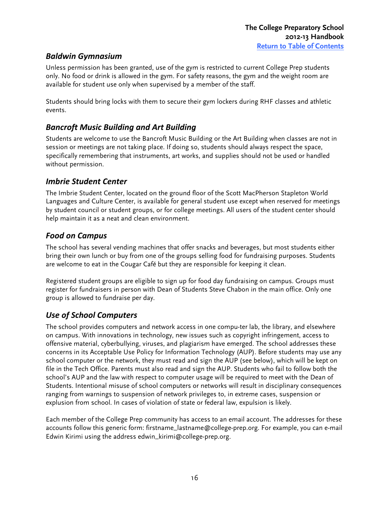#### <span id="page-15-0"></span>*Baldwin(Gymnasium(*

Unless permission has been granted, use of the gym is restricted to current College Prep students only. No food or drink is allowed in the gym. For safety reasons, the gym and the weight room are available for student use only when supervised by a member of the staff.

Students should bring locks with them to secure their gym lockers during RHF classes and athletic events.

## **Bancroft Music Building and Art Building**

Students are welcome to use the Bancroft Music Building or the Art Building when classes are not in session or meetings are not taking place. If doing so, students should always respect the space, specifically remembering that instruments, art works, and supplies should not be used or handled without permission.

#### **Imbrie Student Center**

The Imbrie Student Center, located on the ground floor of the Scott MacPherson Stapleton World Languages and Culture Center, is available for general student use except when reserved for meetings by student council or student groups, or for college meetings. All users of the student center should help maintain it as a neat and clean environment.

#### **Food on Campus**

The school has several vending machines that offer snacks and beverages, but most students either bring their own lunch or buy from one of the groups selling food for fundraising purposes. Students are welcome to eat in the Cougar Café but they are responsible for keeping it clean.

Registered student groups are eligible to sign up for food day fundraising on campus. Groups must register for fundraisers in person with Dean of Students Steve Chabon in the main office. Only one group is allowed to fundraise per day.

## *Use of School Computers*

The school provides computers and network access in one compu-ter lab, the library, and elsewhere on campus. With innovations in technology, new issues such as copyright infringement, access to offensive material, cyberbullying, viruses, and plagiarism have emerged. The school addresses these concerns in its Acceptable Use Policy for Information Technology (AUP). Before students may use any school computer or the network, they must read and sign the AUP (see below), which will be kept on file in the Tech Office. Parents must also read and sign the AUP. Students who fail to follow both the school's AUP and the law with respect to computer usage will be required to meet with the Dean of Students. Intentional misuse of school computers or networks will result in disciplinary consequences ranging from warnings to suspension of network privileges to, in extreme cases, suspension or explusion from school. In cases of violation of state or federal law, expulsion is likely.

Each member of the College Prep community has access to an email account. The addresses for these accounts follow this generic form: firstname\_lastname@college-prep.org. For example, you can e-mail Edwin Kirimi using the address edwin\_kirimi@college-prep.org.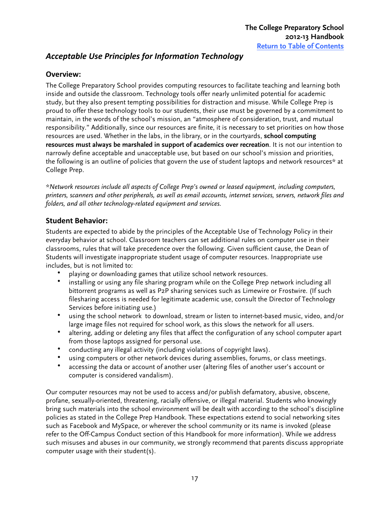## <span id="page-16-0"></span>Acceptable Use Principles for Information Technology

#### **Overview:**

The College Preparatory School provides computing resources to facilitate teaching and learning both inside and outside the classroom. Technology tools offer nearly unlimited potential for academic study, but they also present tempting possibilities for distraction and misuse. While College Prep is proud to offer these technology tools to our students, their use must be governed by a commitment to maintain, in the words of the school's mission, an "atmosphere of consideration, trust, and mutual responsibility." Additionally, since our resources are finite, it is necessary to set priorities on how those resources are used. Whether in the labs, in the library, or in the courtyards, **school computing resources must always be marshaled in support of academics over recreation**. It is not our intention to narrowly define acceptable and unacceptable use, but based on our school's mission and priorities, the following is an outline of policies that govern the use of student laptops and network resources\* at College Prep.

*\*Network resources include all aspects of College Prep's owned or leased equipment, including computers, printers, scanners and other peripherals, as well as email accounts, internet services, servers, network files and folders, and all other technology-related equipment and services.* 

#### **Student Behavior:**

Students are expected to abide by the principles of the Acceptable Use of Technology Policy in their everyday behavior at school. Classroom teachers can set additional rules on computer use in their classrooms, rules that will take precedence over the following. Given sufficient cause, the Dean of Students will investigate inappropriate student usage of computer resources. Inappropriate use includes, but is not limited to:

- playing or downloading games that utilize school network resources.
- installing or using any file sharing program while on the College Prep network including all bittorrent programs as well as P2P sharing services such as Limewire or Frostwire. (If such filesharing access is needed for legitimate academic use, consult the Director of Technology Services before initiating use.)
- using the school network to download, stream or listen to internet-based music, video, and/or large image files not required for school work, as this slows the network for all users.
- altering, adding or deleting any files that affect the configuration of any school computer apart from those laptops assigned for personal use.
- conducting any illegal activity (including violations of copyright laws).
- using computers or other network devices during assemblies, forums, or class meetings.
- accessing the data or account of another user (altering files of another user's account or computer is considered vandalism).

Our computer resources may not be used to access and/or publish defamatory, abusive, obscene, profane, sexually-oriented, threatening, racially offensive, or illegal material. Students who knowingly bring such materials into the school environment will be dealt with according to the school's discipline policies as stated in the College Prep Handbook. These expectations extend to social networking sites such as Facebook and MySpace, or wherever the school community or its name is invoked (please refer to the Off-Campus Conduct section of this Handbook for more information). While we address such misuses and abuses in our community, we strongly recommend that parents discuss appropriate computer usage with their student(s).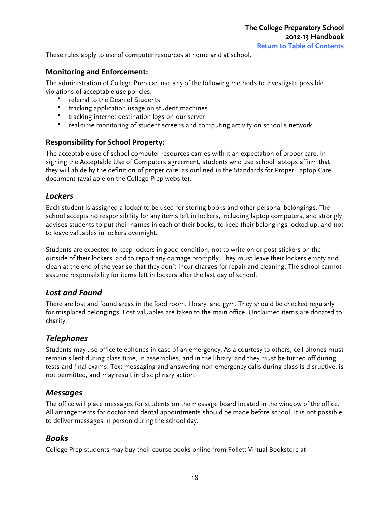<span id="page-17-0"></span>These rules apply to use of computer resources at home and at school.

#### **Monitoring'and'Enforcement:**

The administration of College Prep can use any of the following methods to investigate possible violations of acceptable use policies:

- referral to the Dean of Students
- tracking application usage on student machines
- tracking internet destination logs on our server
- real-time monitoring of student screens and computing activity on school's network

#### **Responsibility for School Property:**

The acceptable use of school computer resources carries with it an expectation of proper care. In signing the Acceptable Use of Computers agreement, students who use school laptops affirm that they will abide by the definition of proper care, as outlined in the Standards for Proper Laptop Care document (available on the College Prep website).

#### *Lockers*

Each student is assigned a locker to be used for storing books and other personal belongings. The school accepts no responsibility for any items left in lockers, including laptop computers, and strongly advises students to put their names in each of their books, to keep their belongings locked up, and not to leave valuables in lockers overnight.

Students are expected to keep lockers in good condition, not to write on or post stickers on the outside of their lockers, and to report any damage promptly. They must leave their lockers empty and clean at the end of the year so that they don't incur charges for repair and cleaning. The school cannot assume responsibility for items left in lockers after the last day of school.

#### Lost and Found

There are lost and found areas in the food room, library, and gym. They should be checked regularly for misplaced belongings. Lost valuables are taken to the main office. Unclaimed items are donated to charity.

#### *Telephones(*

Students may use office telephones in case of an emergency. As a courtesy to others, cell phones must remain silent during class time, in assemblies, and in the library, and they must be turned off during tests and final exams. Text messaging and answering non-emergency calls during class is disruptive, is not permitted, and may result in disciplinary action.

#### *Messages*

The office will place messages for students on the message board located in the window of the office. All arrangements for doctor and dental appointments should be made before school. It is not possible to deliver messages in person during the school day.

#### *Books(*

College Prep students may buy their course books online from Follett Virtual Bookstore at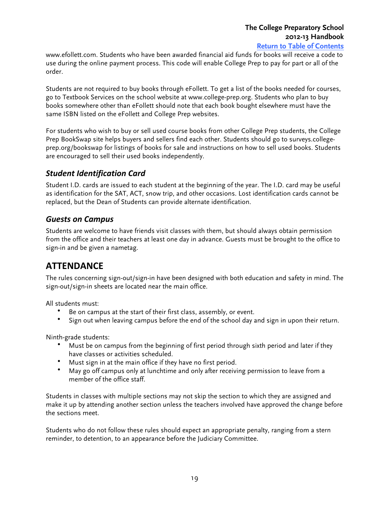# **The College Preparatory School 2012-13 Handbook**

**[Return to Table of Contents](#page-1-0)**

<span id="page-18-0"></span>www.efollett.com. Students who have been awarded financial aid funds for books will receive a code to use during the online payment process. This code will enable College Prep to pay for part or all of the order.

Students are not required to buy books through eFollett. To get a list of the books needed for courses, go to Textbook Services on the school website at www.college-prep.org. Students who plan to buy books somewhere other than eFollett should note that each book bought elsewhere must have the same ISBN listed on the eFollett and College Prep websites.

For students who wish to buy or sell used course books from other College Prep students, the College Prep BookSwap site helps buyers and sellers find each other. Students should go to surveys.collegeprep.org/bookswap for listings of books for sale and instructions on how to sell used books. Students are encouraged to sell their used books independently.

#### **Student Identification Card**

Student I.D. cards are issued to each student at the beginning of the year. The I.D. card may be useful as identification for the SAT, ACT, snow trip, and other occasions. Lost identification cards cannot be replaced, but the Dean of Students can provide alternate identification.

#### **Guests on Campus**

Students are welcome to have friends visit classes with them, but should always obtain permission from the office and their teachers at least one day in advance. Guests must be brought to the office to sign-in and be given a nametag.

# **ATTENDANCE**

The rules concerning sign-out/sign-in have been designed with both education and safety in mind. The sign-out/sign-in sheets are located near the main office.

All students must:

- Be on campus at the start of their first class, assembly, or event.
- Sign out when leaving campus before the end of the school day and sign in upon their return.

Ninth-grade students:

- Must be on campus from the beginning of first period through sixth period and later if they have classes or activities scheduled.
- Must sign in at the main office if they have no first period.
- May go off campus only at lunchtime and only after receiving permission to leave from a member of the office staff.

Students in classes with multiple sections may not skip the section to which they are assigned and make it up by attending another section unless the teachers involved have approved the change before the sections meet.

Students who do not follow these rules should expect an appropriate penalty, ranging from a stern reminder, to detention, to an appearance before the Judiciary Committee.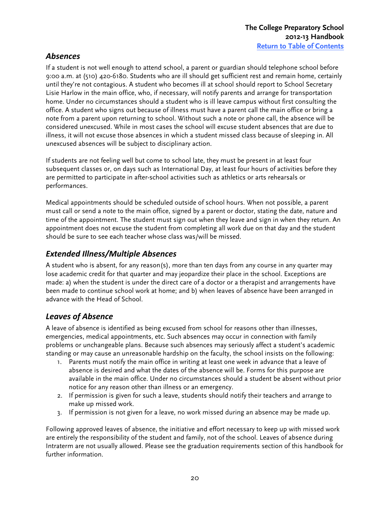## <span id="page-19-0"></span>*Absences*

If a student is not well enough to attend school, a parent or guardian should telephone school before 9:00 a.m. at (510) 420-6180. Students who are ill should get sufficient rest and remain home, certainly until they're not contagious. A student who becomes ill at school should report to School Secretary Lisie Harlow in the main office, who, if necessary, will notify parents and arrange for transportation home. Under no circumstances should a student who is ill leave campus without first consulting the office. A student who signs out because of illness must have a parent call the main office or bring a note from a parent upon returning to school. Without such a note or phone call, the absence will be considered unexcused. While in most cases the school will excuse student absences that are due to illness, it will not excuse those absences in which a student missed class because of sleeping in. All unexcused absences will be subject to disciplinary action.

If students are not feeling well but come to school late, they must be present in at least four subsequent classes or, on days such as International Day, at least four hours of activities before they are permitted to participate in after-school activities such as athletics or arts rehearsals or performances.

Medical appointments should be scheduled outside of school hours. When not possible, a parent must call or send a note to the main office, signed by a parent or doctor, stating the date, nature and time of the appointment. The student must sign out when they leave and sign in when they return. An appointment does not excuse the student from completing all work due on that day and the student should be sure to see each teacher whose class was/will be missed.

## **Extended Illness/Multiple Absences**

A student who is absent, for any reason(s), more than ten days from any course in any quarter may lose academic credit for that quarter and may jeopardize their place in the school. Exceptions are made: a) when the student is under the direct care of a doctor or a therapist and arrangements have been made to continue school work at home; and b) when leaves of absence have been arranged in advance with the Head of School.

# **Leaves of Absence**

A leave of absence is identified as being excused from school for reasons other than illnesses, emergencies, medical appointments, etc. Such absences may occur in connection with family problems or unchangeable plans. Because such absences may seriously affect a student's academic standing or may cause an unreasonable hardship on the faculty, the school insists on the following:

- 1. Parents must notify the main office in writing at least one week in advance that a leave of absence is desired and what the dates of the absence will be. Forms for this purpose are available in the main office. Under no circumstances should a student be absent without prior notice for any reason other than illness or an emergency.
- 2. If permission is given for such a leave, students should notify their teachers and arrange to make up missed work.
- 3. If permission is not given for a leave, no work missed during an absence may be made up.

Following approved leaves of absence, the initiative and effort necessary to keep up with missed work are entirely the responsibility of the student and family, not of the school. Leaves of absence during Intraterm are not usually allowed. Please see the graduation requirements section of this handbook for further information.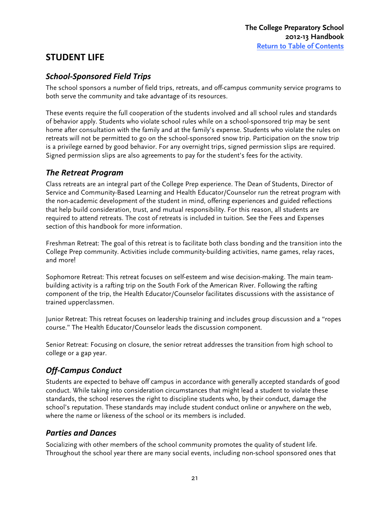# <span id="page-20-0"></span>**STUDENT LIFE**

## **School-Sponsored Field Trips**

The school sponsors a number of field trips, retreats, and off-campus community service programs to both serve the community and take advantage of its resources.

These events require the full cooperation of the students involved and all school rules and standards of behavior apply. Students who violate school rules while on a school-sponsored trip may be sent home after consultation with the family and at the family's expense. Students who violate the rules on retreats will not be permitted to go on the school-sponsored snow trip. Participation on the snow trip is a privilege earned by good behavior. For any overnight trips, signed permission slips are required. Signed permission slips are also agreements to pay for the student's fees for the activity.

## *The Retreat Program*

Class retreats are an integral part of the College Prep experience. The Dean of Students, Director of Service and Community-Based Learning and Health Educator/Counselor run the retreat program with the non-academic development of the student in mind, offering experiences and guided reflections that help build consideration, trust, and mutual responsibility. For this reason, all students are required to attend retreats. The cost of retreats is included in tuition. See the Fees and Expenses section of this handbook for more information.

Freshman Retreat: The goal of this retreat is to facilitate both class bonding and the transition into the College Prep community. Activities include community-building activities, name games, relay races, and more!

Sophomore Retreat: This retreat focuses on self-esteem and wise decision-making. The main teambuilding activity is a rafting trip on the South Fork of the American River. Following the rafting component of the trip, the Health Educator/Counselor facilitates discussions with the assistance of trained upperclassmen.

Junior Retreat: This retreat focuses on leadership training and includes group discussion and a "ropes course." The Health Educator/Counselor leads the discussion component.

Senior Retreat: Focusing on closure, the senior retreat addresses the transition from high school to college or a gap year.

# **Off-Campus Conduct**

Students are expected to behave off campus in accordance with generally accepted standards of good conduct. While taking into consideration circumstances that might lead a student to violate these standards, the school reserves the right to discipline students who, by their conduct, damage the school's reputation. These standards may include student conduct online or anywhere on the web, where the name or likeness of the school or its members is included.

## **Parties and Dances**

Socializing with other members of the school community promotes the quality of student life. Throughout the school year there are many social events, including non-school sponsored ones that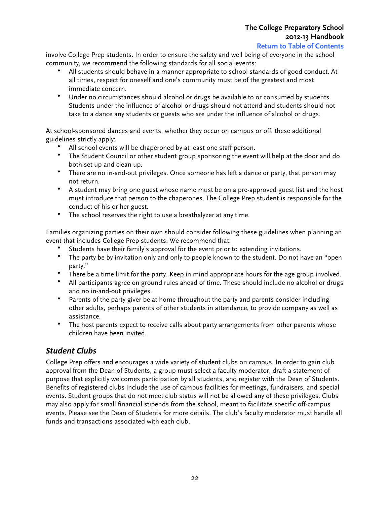**[Return to Table of Contents](#page-1-0)**

<span id="page-21-0"></span>involve College Prep students. In order to ensure the safety and well being of everyone in the school community, we recommend the following standards for all social events:

- All students should behave in a manner appropriate to school standards of good conduct. At all times, respect for oneself and one's community must be of the greatest and most immediate concern.
- Under no circumstances should alcohol or drugs be available to or consumed by students. Students under the influence of alcohol or drugs should not attend and students should not take to a dance any students or guests who are under the influence of alcohol or drugs.

At school-sponsored dances and events, whether they occur on campus or off, these additional guidelines strictly apply:

- All school events will be chaperoned by at least one staff person.
- The Student Council or other student group sponsoring the event will help at the door and do both set up and clean up.
- There are no in-and-out privileges. Once someone has left a dance or party, that person may not return.
- A student may bring one guest whose name must be on a pre-approved guest list and the host must introduce that person to the chaperones. The College Prep student is responsible for the conduct of his or her guest.
- The school reserves the right to use a breathalyzer at any time.

Families organizing parties on their own should consider following these guidelines when planning an event that includes College Prep students. We recommend that:

- Students have their family's approval for the event prior to extending invitations.
- The party be by invitation only and only to people known to the student. Do not have an "open party."
- There be a time limit for the party. Keep in mind appropriate hours for the age group involved.
- All participants agree on ground rules ahead of time. These should include no alcohol or drugs and no in-and-out privileges.
- Parents of the party giver be at home throughout the party and parents consider including other adults, perhaps parents of other students in attendance, to provide company as well as assistance.
- The host parents expect to receive calls about party arrangements from other parents whose children have been invited.

## **Student Clubs**

College Prep offers and encourages a wide variety of student clubs on campus. In order to gain club approval from the Dean of Students, a group must select a faculty moderator, draft a statement of purpose that explicitly welcomes participation by all students, and register with the Dean of Students. Benefits of registered clubs include the use of campus facilities for meetings, fundraisers, and special events. Student groups that do not meet club status will not be allowed any of these privileges. Clubs may also apply for small financial stipends from the school, meant to facilitate specific off-campus events. Please see the Dean of Students for more details. The club's faculty moderator must handle all funds and transactions associated with each club.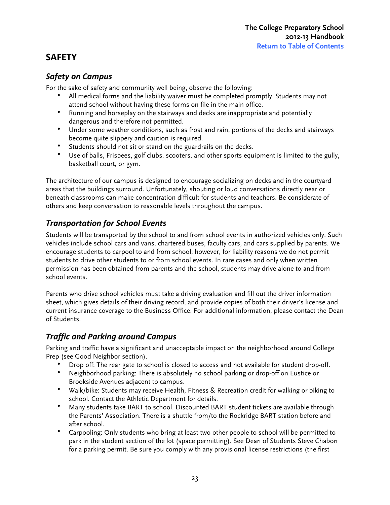# <span id="page-22-0"></span>**SAFETY**

## **Safety on Campus**

For the sake of safety and community well being, observe the following:

- All medical forms and the liability waiver must be completed promptly. Students may not attend school without having these forms on file in the main office.
- Running and horseplay on the stairways and decks are inappropriate and potentially dangerous and therefore not permitted.
- Under some weather conditions, such as frost and rain, portions of the decks and stairways become quite slippery and caution is required.
- Students should not sit or stand on the guardrails on the decks.
- Use of balls, Frisbees, golf clubs, scooters, and other sports equipment is limited to the gully, basketball court, or gym.

The architecture of our campus is designed to encourage socializing on decks and in the courtyard areas that the buildings surround. Unfortunately, shouting or loud conversations directly near or beneath classrooms can make concentration difficult for students and teachers. Be considerate of others and keep conversation to reasonable levels throughout the campus.

# **Transportation for School Events**

Students will be transported by the school to and from school events in authorized vehicles only. Such vehicles include school cars and vans, chartered buses, faculty cars, and cars supplied by parents. We encourage students to carpool to and from school; however, for liability reasons we do not permit students to drive other students to or from school events. In rare cases and only when written permission has been obtained from parents and the school, students may drive alone to and from school events.

Parents who drive school vehicles must take a driving evaluation and fill out the driver information sheet, which gives details of their driving record, and provide copies of both their driver's license and current insurance coverage to the Business Office. For additional information, please contact the Dean of Students.

## *Traffic and Parking around Campus*

Parking and traffic have a significant and unacceptable impact on the neighborhood around College Prep (see Good Neighbor section).

- Drop off: The rear gate to school is closed to access and not available for student drop-off.
- Neighborhood parking: There is absolutely no school parking or drop-off on Eustice or Brookside Avenues adjacent to campus.
- Walk/bike: Students may receive Health, Fitness & Recreation credit for walking or biking to school. Contact the Athletic Department for details.
- Many students take BART to school. Discounted BART student tickets are available through the Parents' Association. There is a shuttle from/to the Rockridge BART station before and after school.
- Carpooling: Only students who bring at least two other people to school will be permitted to park in the student section of the lot (space permitting). See Dean of Students Steve Chabon for a parking permit. Be sure you comply with any provisional license restrictions (the first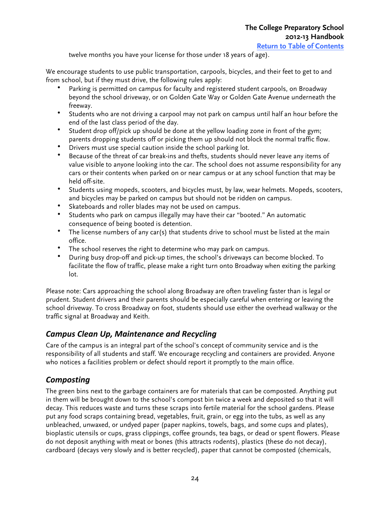twelve months you have your license for those under 18 years of age).

<span id="page-23-0"></span>We encourage students to use public transportation, carpools, bicycles, and their feet to get to and from school, but if they must drive, the following rules apply:

- Parking is permitted on campus for faculty and registered student carpools, on Broadway beyond the school driveway, or on Golden Gate Way or Golden Gate Avenue underneath the freeway.
- Students who are not driving a carpool may not park on campus until half an hour before the end of the last class period of the day.
- Student drop off/pick up should be done at the yellow loading zone in front of the gym; parents dropping students off or picking them up should not block the normal traffic flow.
- Drivers must use special caution inside the school parking lot.
- Because of the threat of car break-ins and thefts, students should never leave any items of value visible to anyone looking into the car. The school does not assume responsibility for any cars or their contents when parked on or near campus or at any school function that may be held off-site.
- Students using mopeds, scooters, and bicycles must, by law, wear helmets. Mopeds, scooters, and bicycles may be parked on campus but should not be ridden on campus.
- Skateboards and roller blades may not be used on campus.
- Students who park on campus illegally may have their car "booted." An automatic consequence of being booted is detention.
- The license numbers of any car(s) that students drive to school must be listed at the main office.
- The school reserves the right to determine who may park on campus.
- During busy drop-off and pick-up times, the school's driveways can become blocked. To facilitate the flow of traffic, please make a right turn onto Broadway when exiting the parking lot.

Please note: Cars approaching the school along Broadway are often traveling faster than is legal or prudent. Student drivers and their parents should be especially careful when entering or leaving the school driveway. To cross Broadway on foot, students should use either the overhead walkway or the traffic signal at Broadway and Keith.

## *Campus Clean Up, Maintenance and Recycling*

Care of the campus is an integral part of the school's concept of community service and is the responsibility of all students and staff. We encourage recycling and containers are provided. Anyone who notices a facilities problem or defect should report it promptly to the main office.

## *Composting(*

The green bins next to the garbage containers are for materials that can be composted. Anything put in them will be brought down to the school's compost bin twice a week and deposited so that it will decay. This reduces waste and turns these scraps into fertile material for the school gardens. Please put any food scraps containing bread, vegetables, fruit, grain, or egg into the tubs, as well as any unbleached, unwaxed, or undyed paper (paper napkins, towels, bags, and some cups and plates), bioplastic utensils or cups, grass clippings, coffee grounds, tea bags, or dead or spent flowers. Please do not deposit anything with meat or bones (this attracts rodents), plastics (these do not decay), cardboard (decays very slowly and is better recycled), paper that cannot be composted (chemicals,